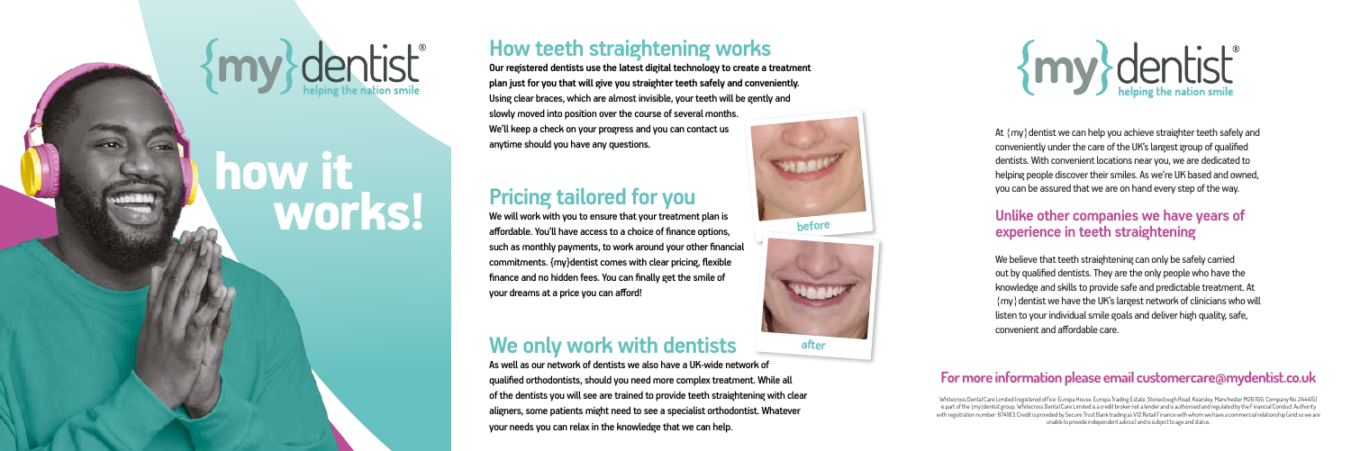## **How teeth straightening works**

**Our registered dentists use the latest digital technology to create a treatment plan just for you that will give you straighter teeth safely and conveniently.** Using clear braces, which are almost invisible, your teeth will be gently and slowly moved into position over the course of several months. We'll keep a check on your progress and you can contact us anytime should you have any questions.

## **Pricing tailored for you**

We will work with you to ensure that your treatment plan is affordable. You'll have access to a choice of finance options, such as monthly payments, to work around your other financial commitments. {my}dentist comes with clear pricing, flexible finance and no hidden fees. You can finally get the smile of your dreams at a price you can afford!

At  $\{my\}$  dentist we can help you achieve straighter teeth safely and conveniently under the care of the UK's largest group of qualified dentists. With convenient locations near you, we are dedicated to helping people discover their smiles. As we're UK based and owned, you can be assured that we are on hand every step of the way.

## **We only work with dentists**

As well as our network of dentists we also have a UK-wide network of qualified orthodontists, should you need more complex treatment. While all of the dentists you will see are trained to provide teeth straightening with clear aligners, some patients might need to see a specialist orthodontist. Whatever your needs you can relax in the knowledge that we can help.



**after**

# {my} dentist

### **Unlike other companies we have years of experience in teeth straightening**

We believe that teeth straightening can only be safely carried out by qualified dentists. They are the only people who have the knowledge and skills to provide safe and predictable treatment. At  $\{my\}$  dentist we have the UK's largest network of clinicians who will listen to your individual smile goals and deliver high quality, safe, convenient and affordable care.

### **For more information please email customercare@mydentist.co.uk**

Whitecross Dental Care Limited (registered office: Europa House, Europa Trading Estate, Stoneclough Road, Kearsley, Manchester M26 1GG. Company No. 244415) is part of the {my}dentist group. Whitecross Dental Care Limited is a credit broker not a lender and is authorised and regulated by the Financial Conduct Authority with registration number: 674183. Credit is provided by Secure Trust Bank trading as V12 Retail Finance with whom we have a commercial relationship (and so we are unable to provide independent advice) and is subject to age and status.

## *<u>{dentist}</u>*

## how it works!